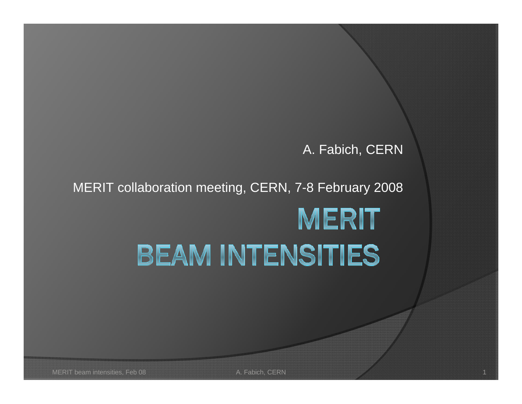#### A. Fabich, CERN

#### MERIT collaboration meeting, CERN, 7-8 February 2008

# **MERIT BEAM INTENSITIES**

MERIT beam intensities, Feb 08 A. Fabich, CERN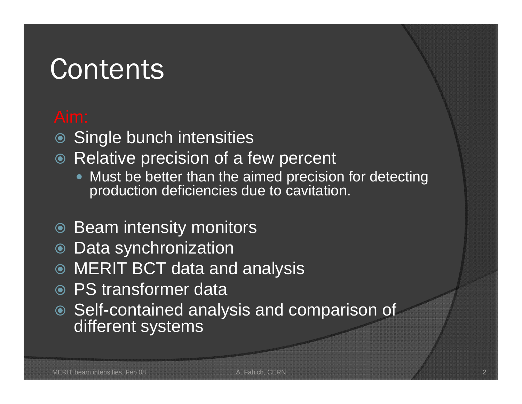### **Contents**

- Single bunch intensities
- Relative precision of a few percent
	- $\bullet$ • Must be better than the aimed precision for detecting production deficiencies due to cavitation.
- Beam intensity monitors
- Data synchronization
- MERIT BCT data and analysis
- PS transformer data
- Self-contained analysis and comparison of different systems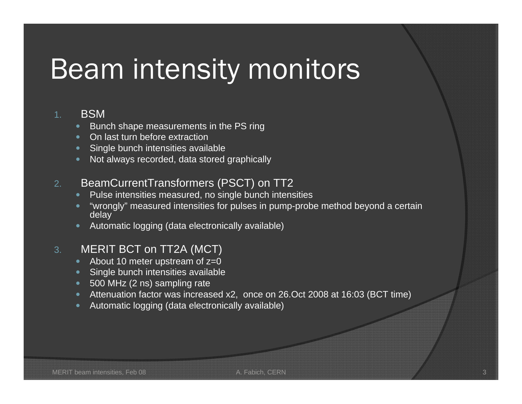# Beam intensity monitors

#### **BSM**

- Bunch shape measurements in the PS ring
- On last turn before extraction
- Single bunch intensities available
- $\bullet$ Not always recorded, data stored graphically

#### 2.BeamCurrentTransformers (PSCT) on TT2

- $\bullet$ Pulse intensities measured, no single bunch intensities
- "wrongly" measured intensities for pulses in pump-probe method beyond a certain delay
- Automatic logging (data electronically available)

#### 3.MERIT BCT on TT2A (MCT)

- $\bullet$ About 10 meter upstream of z=0
- Single bunch intensities available
- 500 MHz (2 ns) sampling rate
- Attenuation factor was increased x2, once on 26.Oct 2008 at 16:03 (BCT time)
- Automatic logging (data electronically available)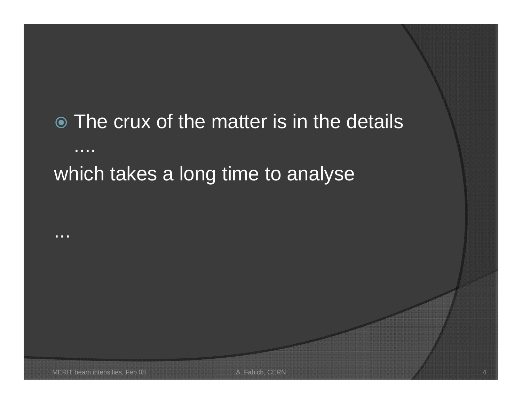#### The crux of the matter is in the details ....which takes a long time to analyse

...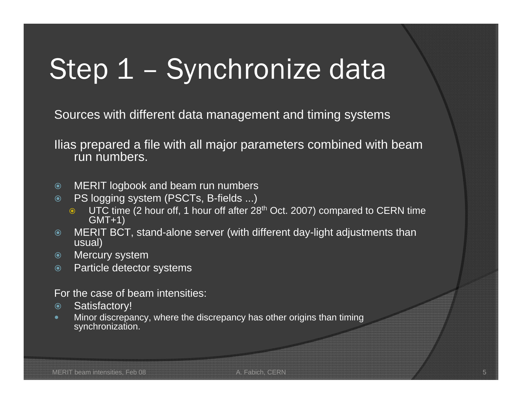# Step 1 - Synchronize data

Sources with different data management and timing systems

Ilias prepared a file with all major parameters combined with beam run numbers.

- $\odot$ MERIT logbook and beam run numbers
- $\odot$  PS logging system (PSCTs, B-fields ...)
	- $\bullet$  UTC time (2 hour off, 1 hour off after 28<sup>th</sup> Oct. 2007) compared to CERN time GMT+1)
- $\odot$  MERIT BCT, stand-alone server (with different day-light adjustments than usual)
- $\odot$ Mercury system
- $\odot$ Particle detector systems

For the case of beam intensities:

- $\odot$ Satisfactory!
- $\bullet$  Minor discrepancy, where the discrepancy has other origins than timing synchronization.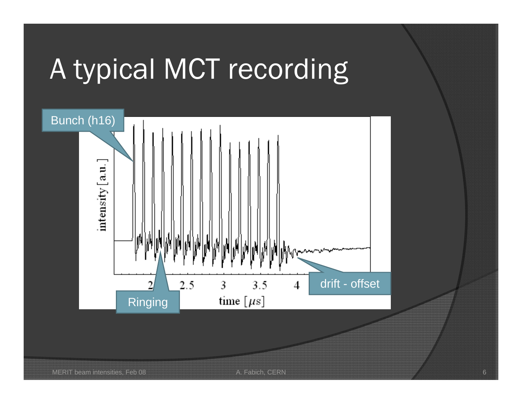# A typical MCT recording

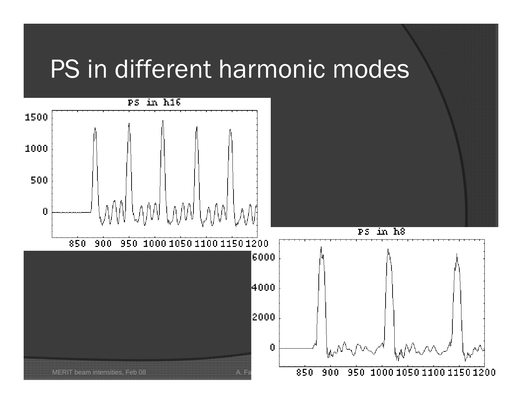#### PS in different harmonic modes

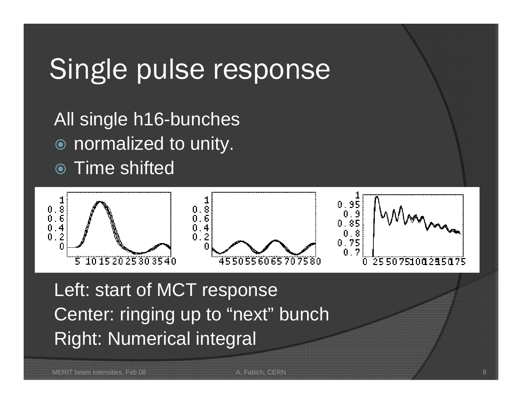### Single pulse response

All single h16-bunches  $\odot$ normalized to unity.

● Time shifted



Left: start of MCT response Center: ringing up to "next" bunch Right: Numerical integral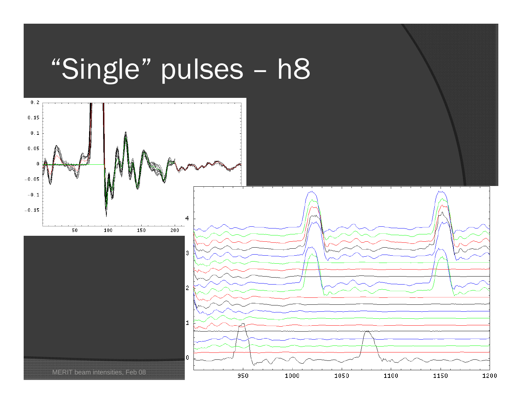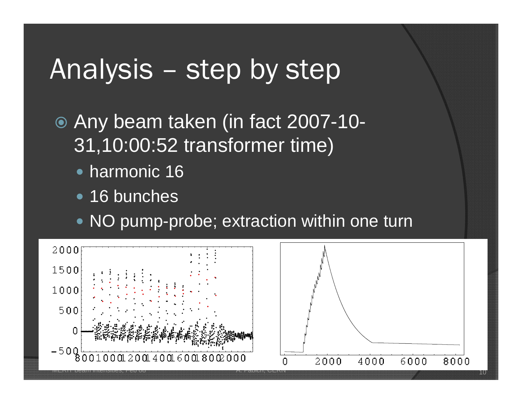#### Analysis – step by step

 Any beam taken (in fact 2007-10- 31,10:00:52 transformer time)

- harmonic 16
- 16 bunches
- NO pump-probe; extraction within one turn

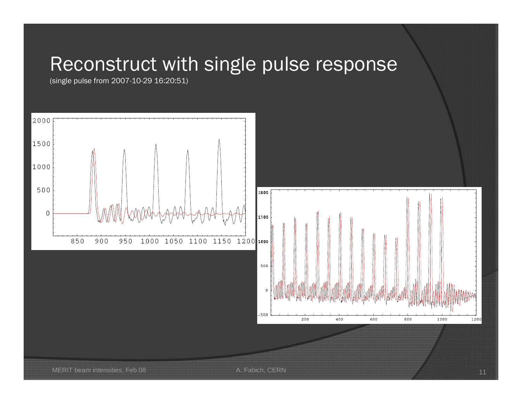#### Reconstruct with single pulse response

(single pulse from 2007-10-29 16:20:51)

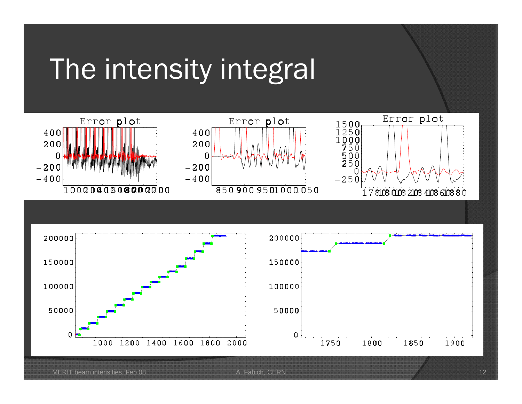### The intensity integral





MERIT beam intensities, Feb 08 **A. Fabich, CERN** 12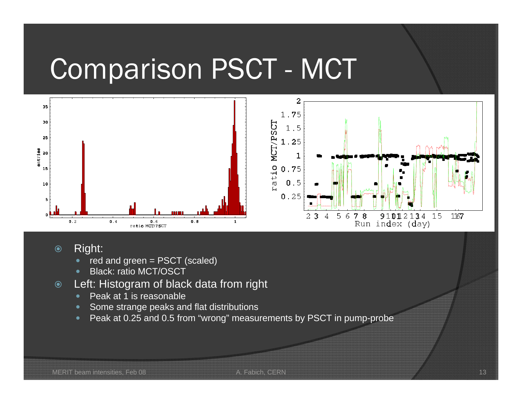### Comparison PSCT - MCT



- $\odot$  Right:
	- $\bullet$ red and green = PSCT (scaled)
	- $\bullet$ Black: ratio MCT/OSCT
- $\odot$  Left: Histogram of black data from right
	- $\bullet$ Peak at 1 is reasonable
	- Some strange peaks and flat distributions
	- $\bullet$ Peak at 0.25 and 0.5 from "wrong" measurements by PSCT in pump-probe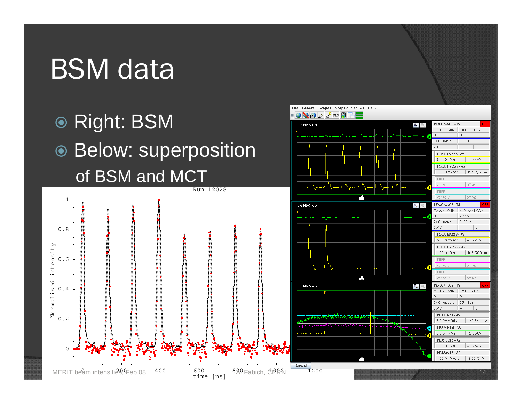# **BSM** data





File General Scope1 Scope2 Scope3 Help

PEX.ONAOS-TS

 $200.0ns/div$ 

2.0V

MX.C-TRAIN PAX.RF-TRAIN  $\Omega$ 

 $2.8<sub>us</sub>$ 

 $+$ F16.UES228-AS 600.0mV/div 2.363V F16.UHZ228-AS 100.0mV/div 394.737mV

Ø.

 $\bigcirc$   $\bigcirc$   $\circ$   $\circ$   $\circ$  PLS  $\bigcirc$ 

CPS:MDPS (26)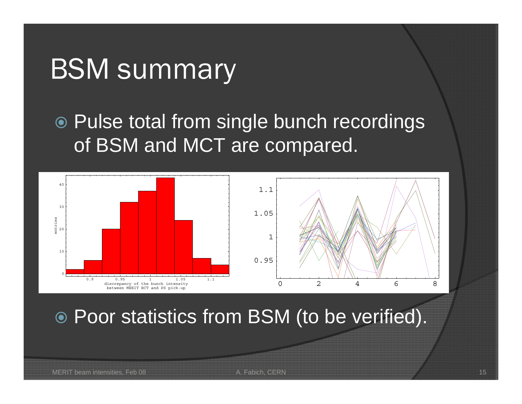#### BSM summary

 Pulse total from single bunch recordings of BSM and MCT are compared.



Poor statistics from BSM (to be verified).